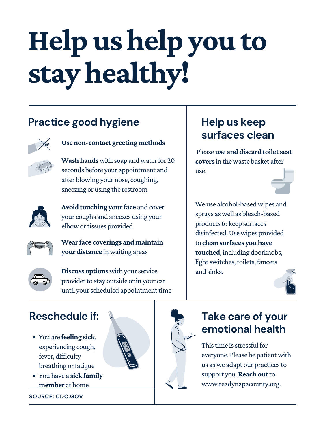# **Help ushelp you to stayhealthy!**

We use alcohol-based wipes and sprays aswell as bleach-based products to keep surfaces disinfected. Use wipes provided to **cleansurfaces youhave touched**, including doorknobs, light switches, toilets, faucets and sinks.



**Wash hands** with soap and water for 20 seconds before your appointment and after blowing your nose, coughing, sneezing or using the restroom



#### **Help us keep surfaces clean**

**Usenon-contact greeting methods**



This time is stressful for everyone. Please be patient with us as we adapt our practices to support you. Reach out to www.readynapacounty.org.

**Wear face coverings and maintain your distance** inwaiting areas



**Discuss options** with your service provider to stay outside or in your car until your scheduled appointment time



**Avoid touching your face** and cover your coughs and sneezes using your elbow or tissues provided

## **Take care of your emotional health**

### **Practice good hygiene**



## **Reschedule if:**

- You are **feeling sick**, experiencing cough, fever, difficulty breathing or fatigue
- You have a **sick family**
	- **member** at home

**SOURCE: CDC.GOV**



Please**use and discard toilet seat covers** in thewaste basket after

use.